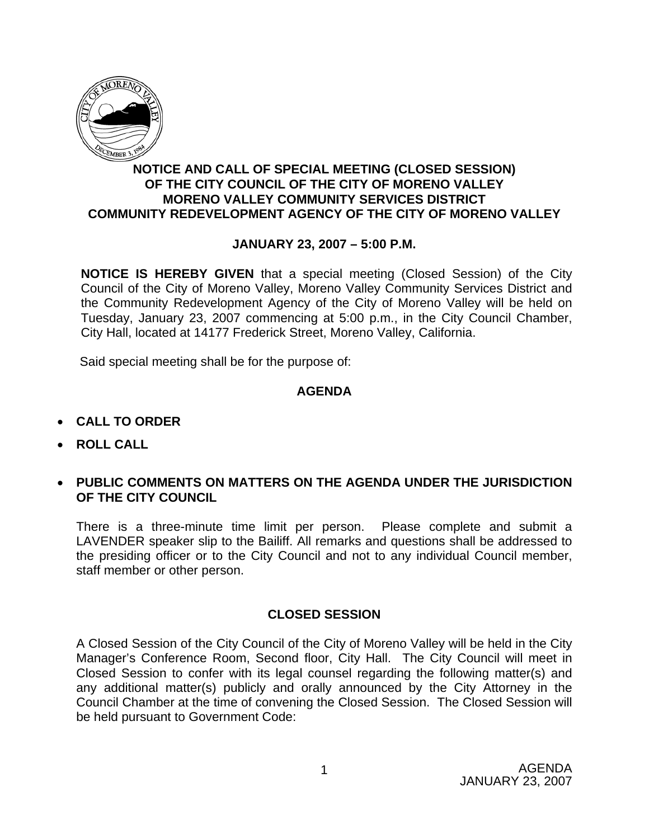

## **NOTICE AND CALL OF SPECIAL MEETING (CLOSED SESSION) OF THE CITY COUNCIL OF THE CITY OF MORENO VALLEY MORENO VALLEY COMMUNITY SERVICES DISTRICT COMMUNITY REDEVELOPMENT AGENCY OF THE CITY OF MORENO VALLEY**

## **JANUARY 23, 2007 – 5:00 P.M.**

**NOTICE IS HEREBY GIVEN** that a special meeting (Closed Session) of the City Council of the City of Moreno Valley, Moreno Valley Community Services District and the Community Redevelopment Agency of the City of Moreno Valley will be held on Tuesday, January 23, 2007 commencing at 5:00 p.m., in the City Council Chamber, City Hall, located at 14177 Frederick Street, Moreno Valley, California.

Said special meeting shall be for the purpose of:

## **AGENDA**

- **CALL TO ORDER**
- **ROLL CALL**
- **PUBLIC COMMENTS ON MATTERS ON THE AGENDA UNDER THE JURISDICTION OF THE CITY COUNCIL**

There is a three-minute time limit per person. Please complete and submit a LAVENDER speaker slip to the Bailiff. All remarks and questions shall be addressed to the presiding officer or to the City Council and not to any individual Council member, staff member or other person.

## **CLOSED SESSION**

A Closed Session of the City Council of the City of Moreno Valley will be held in the City Manager's Conference Room, Second floor, City Hall. The City Council will meet in Closed Session to confer with its legal counsel regarding the following matter(s) and any additional matter(s) publicly and orally announced by the City Attorney in the Council Chamber at the time of convening the Closed Session. The Closed Session will be held pursuant to Government Code: